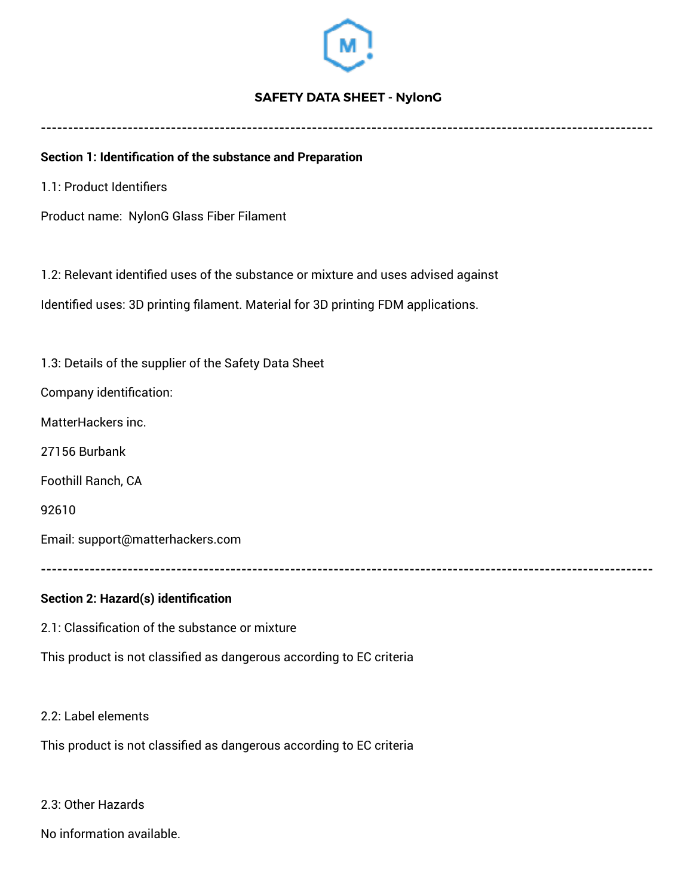

# **SAFETY DATA SHEET - NylonG**

**-----------------------------------------------------------------------------------------------------------------** 

#### **Section 1: Identification of the substance and Preparation**

1.1: Product Identifiers

Product name: NylonG Glass Fiber Filament

1.2: Relevant identified uses of the substance or mixture and uses advised against

Identified uses: 3D printing filament. Material for 3D printing FDM applications.

1.3: Details of the supplier of the Safety Data Sheet

Company identification:

MatterHackers inc.

27156 Burbank

Foothill Ranch, CA

92610

Email: support@matterhackers.com

**-----------------------------------------------------------------------------------------------------------------**

#### **Section 2: Hazard(s) identification**

2.1: Classification of the substance or mixture

This product is not classified as dangerous according to EC criteria

2.2: Label elements

This product is not classified as dangerous according to EC criteria

2.3: Other Hazards

No information available.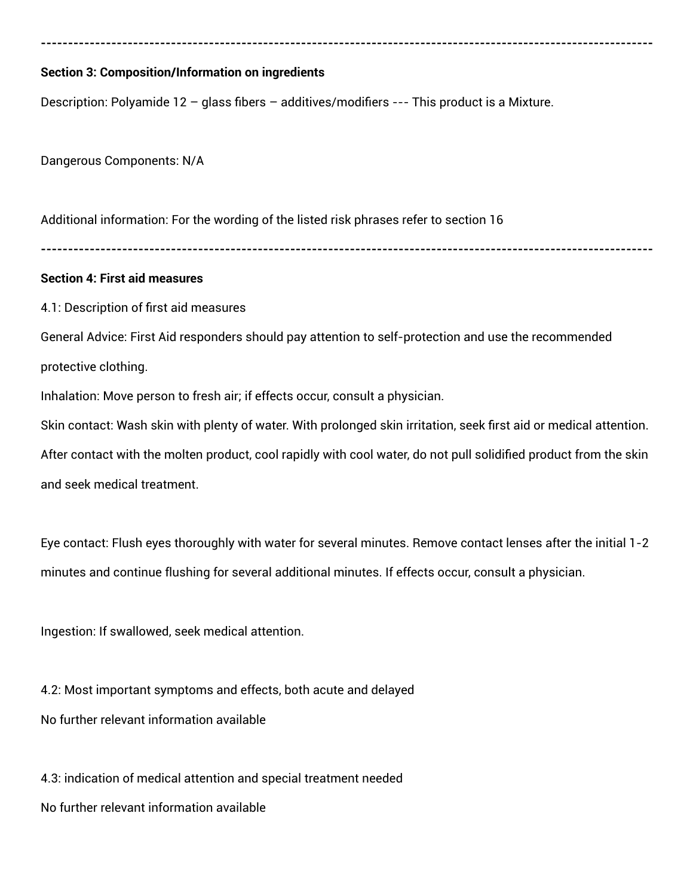### **Section 3: Composition/Information on ingredients**

Description: Polyamide 12 – glass fibers – additives/modifiers --- This product is a Mixture.

Dangerous Components: N/A

Additional information: For the wording of the listed risk phrases refer to section 16

**-----------------------------------------------------------------------------------------------------------------**

**-----------------------------------------------------------------------------------------------------------------**

#### **Section 4: First aid measures**

4.1: Description of first aid measures

General Advice: First Aid responders should pay attention to self-protection and use the recommended protective clothing.

Inhalation: Move person to fresh air; if effects occur, consult a physician.

Skin contact: Wash skin with plenty of water. With prolonged skin irritation, seek first aid or medical attention. After contact with the molten product, cool rapidly with cool water, do not pull solidified product from the skin and seek medical treatment.

Eye contact: Flush eyes thoroughly with water for several minutes. Remove contact lenses after the initial 1-2 minutes and continue flushing for several additional minutes. If effects occur, consult a physician.

Ingestion: If swallowed, seek medical attention.

4.2: Most important symptoms and effects, both acute and delayed No further relevant information available

4.3: indication of medical attention and special treatment needed No further relevant information available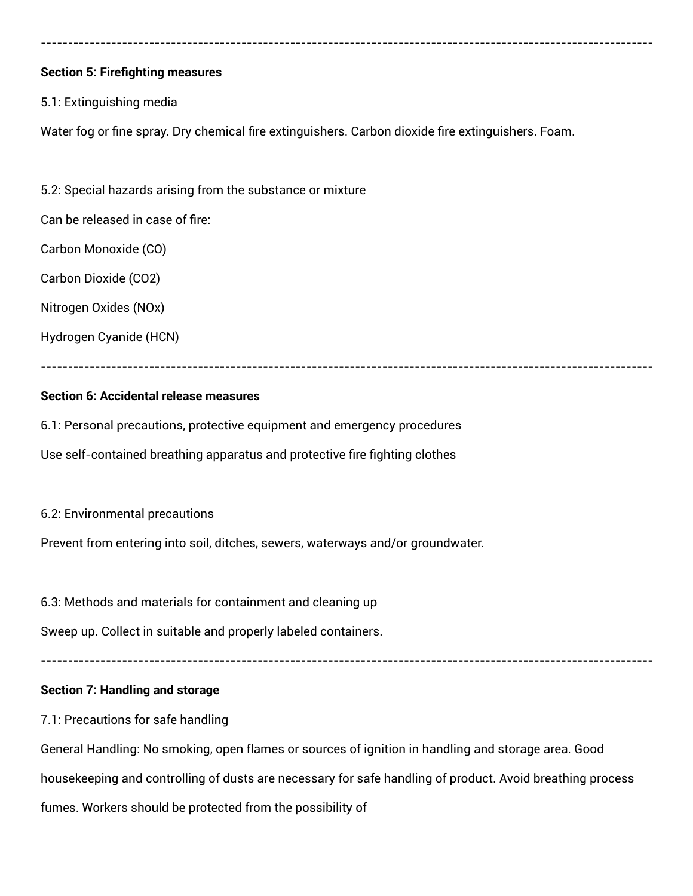# **Section 5: Firefighting measures**

# 5.1: Extinguishing media

Water fog or fine spray. Dry chemical fire extinguishers. Carbon dioxide fire extinguishers. Foam.

**-----------------------------------------------------------------------------------------------------------------**

5.2: Special hazards arising from the substance or mixture

Can be released in case of fire:

Carbon Monoxide (CO)

Carbon Dioxide (CO2)

Nitrogen Oxides (NOx)

Hydrogen Cyanide (HCN)

# **-----------------------------------------------------------------------------------------------------------------**

# **Section 6: Accidental release measures**

6.1: Personal precautions, protective equipment and emergency procedures Use self-contained breathing apparatus and protective fire fighting clothes

6.2: Environmental precautions

Prevent from entering into soil, ditches, sewers, waterways and/or groundwater.

6.3: Methods and materials for containment and cleaning up

Sweep up. Collect in suitable and properly labeled containers.

**-----------------------------------------------------------------------------------------------------------------**

# **Section 7: Handling and storage**

7.1: Precautions for safe handling

General Handling: No smoking, open flames or sources of ignition in handling and storage area. Good housekeeping and controlling of dusts are necessary for safe handling of product. Avoid breathing process fumes. Workers should be protected from the possibility of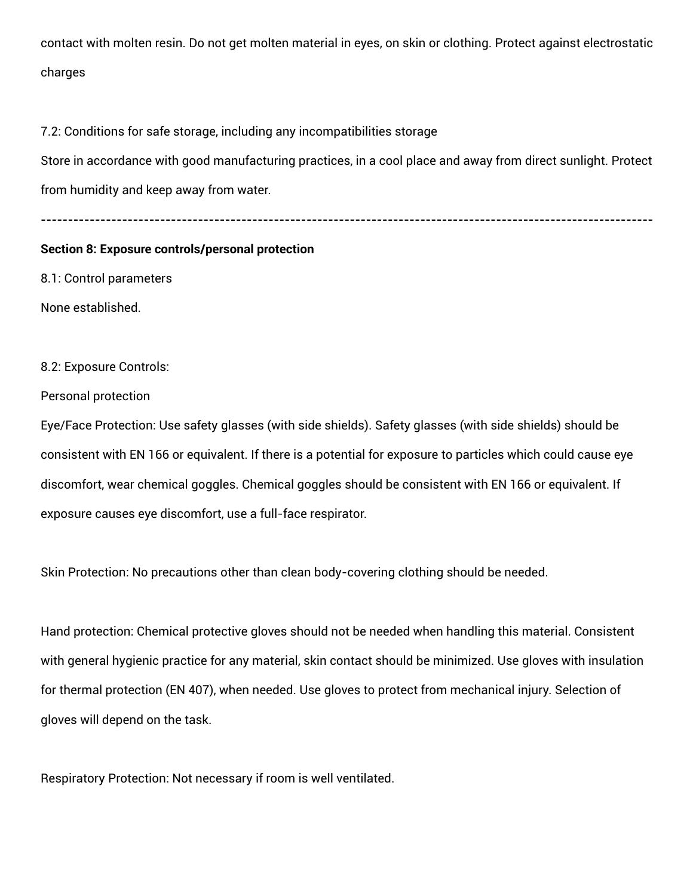contact with molten resin. Do not get molten material in eyes, on skin or clothing. Protect against electrostatic charges

7.2: Conditions for safe storage, including any incompatibilities storage

Store in accordance with good manufacturing practices, in a cool place and away from direct sunlight. Protect from humidity and keep away from water.

**-----------------------------------------------------------------------------------------------------------------**

### **Section 8: Exposure controls/personal protection**

8.1: Control parameters

None established.

8.2: Exposure Controls:

Personal protection

Eye/Face Protection: Use safety glasses (with side shields). Safety glasses (with side shields) should be consistent with EN 166 or equivalent. If there is a potential for exposure to particles which could cause eye discomfort, wear chemical goggles. Chemical goggles should be consistent with EN 166 or equivalent. If exposure causes eye discomfort, use a full-face respirator.

Skin Protection: No precautions other than clean body-covering clothing should be needed.

Hand protection: Chemical protective gloves should not be needed when handling this material. Consistent with general hygienic practice for any material, skin contact should be minimized. Use gloves with insulation for thermal protection (EN 407), when needed. Use gloves to protect from mechanical injury. Selection of gloves will depend on the task.

Respiratory Protection: Not necessary if room is well ventilated.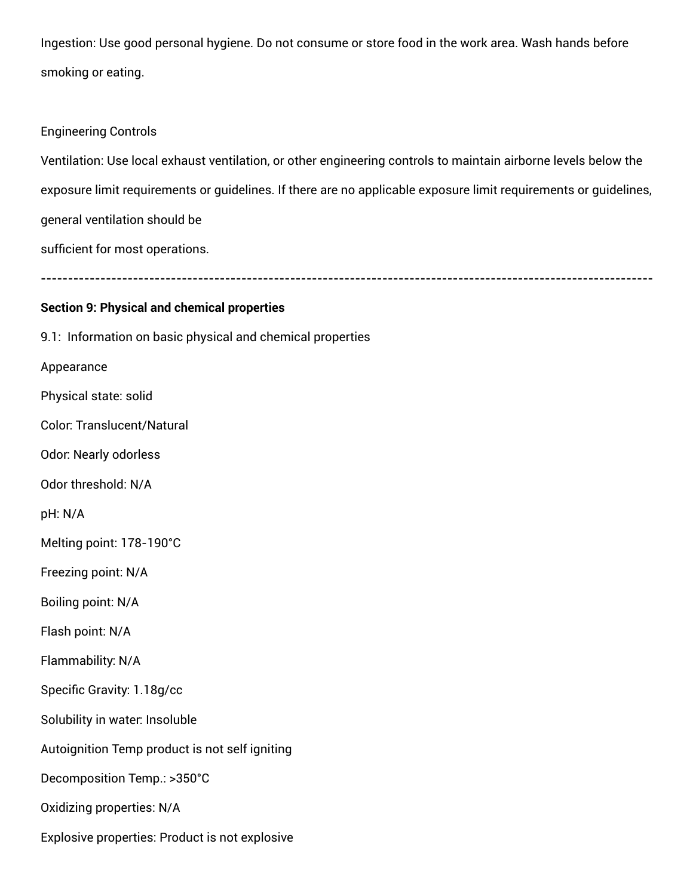Ingestion: Use good personal hygiene. Do not consume or store food in the work area. Wash hands before smoking or eating.

### Engineering Controls

Ventilation: Use local exhaust ventilation, or other engineering controls to maintain airborne levels below the exposure limit requirements or guidelines. If there are no applicable exposure limit requirements or guidelines, general ventilation should be

sufficient for most operations.

**-----------------------------------------------------------------------------------------------------------------**

### **Section 9: Physical and chemical properties**

9.1: Information on basic physical and chemical properties Appearance Physical state: solid Color: Translucent/Natural Odor: Nearly odorless Odor threshold: N/A

pH: N/A

Melting point: 178-190°C

Freezing point: N/A

Boiling point: N/A

Flash point: N/A

Flammability: N/A

Specific Gravity: 1.18g/cc

Solubility in water: Insoluble

Autoignition Temp product is not self igniting

Decomposition Temp.: >350°C

Oxidizing properties: N/A

Explosive properties: Product is not explosive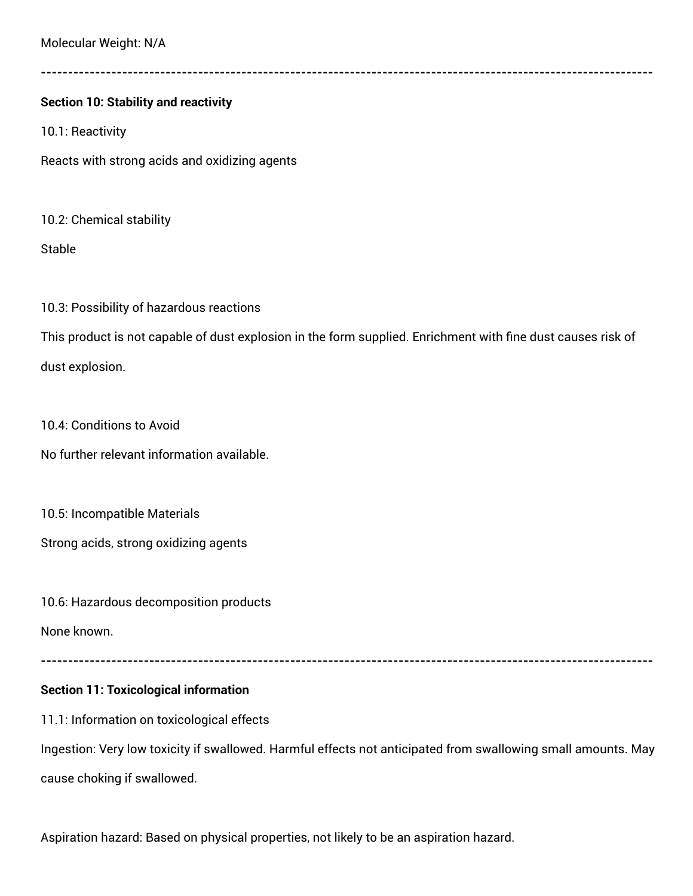Molecular Weight: N/A

**-----------------------------------------------------------------------------------------------------------------**

# **Section 10: Stability and reactivity**

10.1: Reactivity

Reacts with strong acids and oxidizing agents

10.2: Chemical stability

Stable

10.3: Possibility of hazardous reactions

This product is not capable of dust explosion in the form supplied. Enrichment with fine dust causes risk of dust explosion.

10.4: Conditions to Avoid

No further relevant information available.

10.5: Incompatible Materials

Strong acids, strong oxidizing agents

10.6: Hazardous decomposition products

None known.

**-----------------------------------------------------------------------------------------------------------------**

# **Section 11: Toxicological information**

11.1: Information on toxicological effects

Ingestion: Very low toxicity if swallowed. Harmful effects not anticipated from swallowing small amounts. May cause choking if swallowed.

Aspiration hazard: Based on physical properties, not likely to be an aspiration hazard.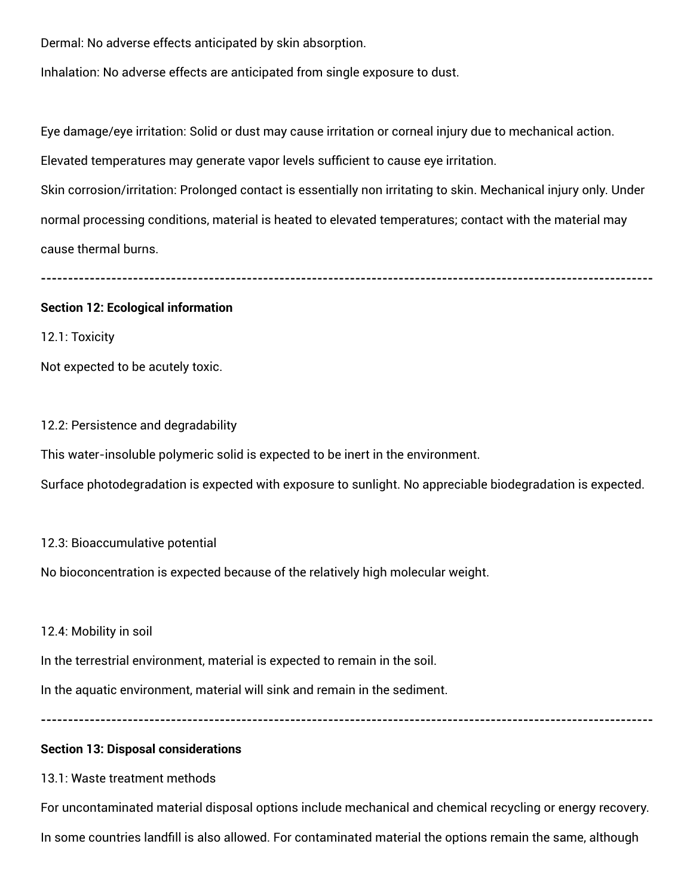Dermal: No adverse effects anticipated by skin absorption.

Inhalation: No adverse effects are anticipated from single exposure to dust.

Eye damage/eye irritation: Solid or dust may cause irritation or corneal injury due to mechanical action.

Elevated temperatures may generate vapor levels sufficient to cause eye irritation.

Skin corrosion/irritation: Prolonged contact is essentially non irritating to skin. Mechanical injury only. Under normal processing conditions, material is heated to elevated temperatures; contact with the material may cause thermal burns.

**-----------------------------------------------------------------------------------------------------------------**

#### **Section 12: Ecological information**

12.1: Toxicity

Not expected to be acutely toxic.

#### 12.2: Persistence and degradability

This water-insoluble polymeric solid is expected to be inert in the environment.

Surface photodegradation is expected with exposure to sunlight. No appreciable biodegradation is expected.

# 12.3: Bioaccumulative potential

No bioconcentration is expected because of the relatively high molecular weight.

# 12.4: Mobility in soil

In the terrestrial environment, material is expected to remain in the soil.

In the aquatic environment, material will sink and remain in the sediment.

**-----------------------------------------------------------------------------------------------------------------**

# **Section 13: Disposal considerations**

# 13.1: Waste treatment methods

For uncontaminated material disposal options include mechanical and chemical recycling or energy recovery. In some countries landfill is also allowed. For contaminated material the options remain the same, although